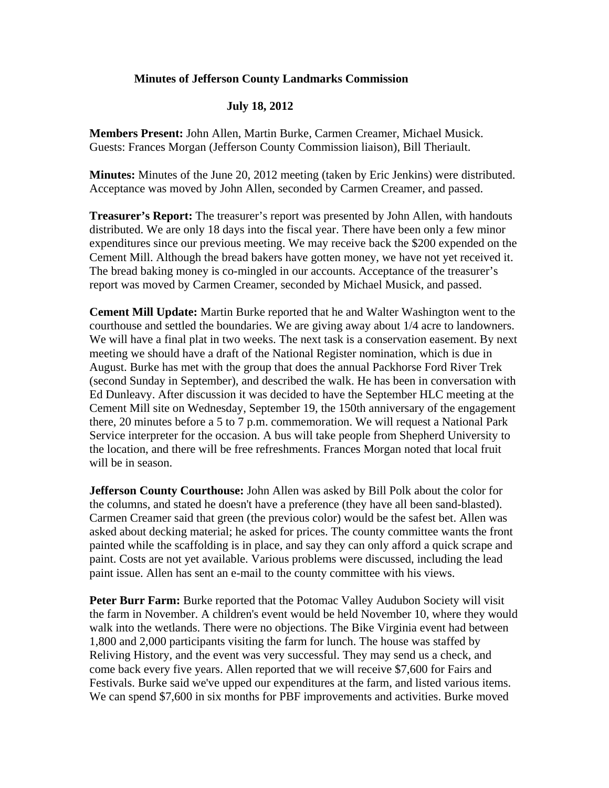## **Minutes of Jefferson County Landmarks Commission**

## **July 18, 2012**

**Members Present:** John Allen, Martin Burke, Carmen Creamer, Michael Musick. Guests: Frances Morgan (Jefferson County Commission liaison), Bill Theriault.

**Minutes:** Minutes of the June 20, 2012 meeting (taken by Eric Jenkins) were distributed. Acceptance was moved by John Allen, seconded by Carmen Creamer, and passed.

**Treasurer's Report:** The treasurer's report was presented by John Allen, with handouts distributed. We are only 18 days into the fiscal year. There have been only a few minor expenditures since our previous meeting. We may receive back the \$200 expended on the Cement Mill. Although the bread bakers have gotten money, we have not yet received it. The bread baking money is co-mingled in our accounts. Acceptance of the treasurer's report was moved by Carmen Creamer, seconded by Michael Musick, and passed.

**Cement Mill Update:** Martin Burke reported that he and Walter Washington went to the courthouse and settled the boundaries. We are giving away about 1/4 acre to landowners. We will have a final plat in two weeks. The next task is a conservation easement. By next meeting we should have a draft of the National Register nomination, which is due in August. Burke has met with the group that does the annual Packhorse Ford River Trek (second Sunday in September), and described the walk. He has been in conversation with Ed Dunleavy. After discussion it was decided to have the September HLC meeting at the Cement Mill site on Wednesday, September 19, the 150th anniversary of the engagement there, 20 minutes before a 5 to 7 p.m. commemoration. We will request a National Park Service interpreter for the occasion. A bus will take people from Shepherd University to the location, and there will be free refreshments. Frances Morgan noted that local fruit will be in season.

**Jefferson County Courthouse:** John Allen was asked by Bill Polk about the color for the columns, and stated he doesn't have a preference (they have all been sand-blasted). Carmen Creamer said that green (the previous color) would be the safest bet. Allen was asked about decking material; he asked for prices. The county committee wants the front painted while the scaffolding is in place, and say they can only afford a quick scrape and paint. Costs are not yet available. Various problems were discussed, including the lead paint issue. Allen has sent an e-mail to the county committee with his views.

**Peter Burr Farm:** Burke reported that the Potomac Valley Audubon Society will visit the farm in November. A children's event would be held November 10, where they would walk into the wetlands. There were no objections. The Bike Virginia event had between 1,800 and 2,000 participants visiting the farm for lunch. The house was staffed by Reliving History, and the event was very successful. They may send us a check, and come back every five years. Allen reported that we will receive \$7,600 for Fairs and Festivals. Burke said we've upped our expenditures at the farm, and listed various items. We can spend \$7,600 in six months for PBF improvements and activities. Burke moved